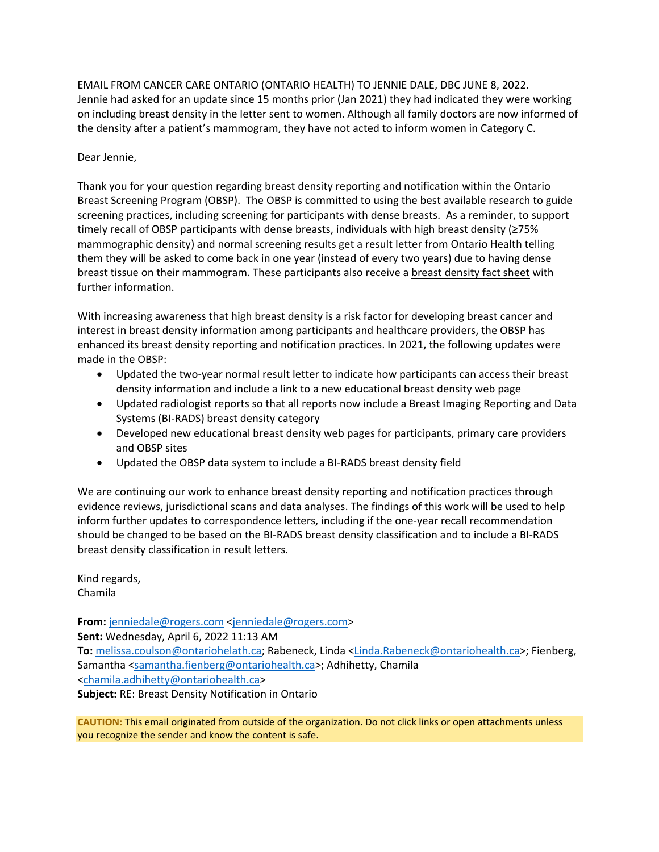EMAIL FROM CANCER CARE ONTARIO (ONTARIO HEALTH) TO JENNIE DALE, DBC JUNE 8, 2022. Jennie had asked for an update since 15 months prior (Jan 2021) they had indicated they were working on including breast density in the letter sent to women. Although all family doctors are now informed of the density after a patient's mammogram, they have not acted to inform women in Category C.

## Dear Jennie,

Thank you for your question regarding breast density reporting and notification within the Ontario Breast Screening Program (OBSP). The OBSP is committed to using the best available research to guide screening practices, including screening for participants with dense breasts. As a reminder, to support timely recall of OBSP participants with dense breasts, individuals with high breast density (≥75% mammographic density) and normal screening results get a result letter from Ontario Health telling them they will be asked to come back in one year (instead of every two years) due to having dense breast tissue on their mammogram. These participants also receive a [breast density fact sheet](https://www.cancercareontario.ca/system/files_force/derivative/BreastDensityFactSheet.pdf?download=1) with further information.

With increasing awareness that high breast density is a risk factor for developing breast cancer and interest in breast density information among participants and healthcare providers, the OBSP has enhanced its breast density reporting and notification practices. In 2021, the following updates were made in the OBSP:

- Updated the two-year normal result letter to indicate how participants can access their breast density information and include a link to a new educational breast density web page
- Updated radiologist reports so that all reports now include a Breast Imaging Reporting and Data Systems (BI-RADS) breast density category
- Developed new educational breast density web pages for participants, primary care providers and OBSP sites
- Updated the OBSP data system to include a BI-RADS breast density field

We are continuing our work to enhance breast density reporting and notification practices through evidence reviews, jurisdictional scans and data analyses. The findings of this work will be used to help inform further updates to correspondence letters, including if the one-year recall recommendation should be changed to be based on the BI-RADS breast density classification and to include a BI-RADS breast density classification in result letters.

Kind regards, Chamila

**From:** [jenniedale@rogers.com <jenniedale@rogers.com>](mailto:jenniedale@rogers.com) **Sent:** Wednesday, April 6, 2022 11:13 AM **To:** [melissa.coulson@ontariohelath.ca;](mailto:melissa.coulson@ontariohelath.ca) Rabeneck, Linda [<Linda.Rabeneck@ontariohealth.ca>](mailto:Linda.Rabeneck@ontariohealth.ca); Fienberg, Samantha [<samantha.fienberg@ontariohealth.ca>](mailto:samantha.fienberg@ontariohealth.ca); Adhihetty, Chamila [<chamila.adhihetty@ontariohealth.ca>](mailto:chamila.adhihetty@ontariohealth.ca)

**Subject:** RE: Breast Density Notification in Ontario

**CAUTION:** This email originated from outside of the organization. Do not click links or open attachments unless you recognize the sender and know the content is safe.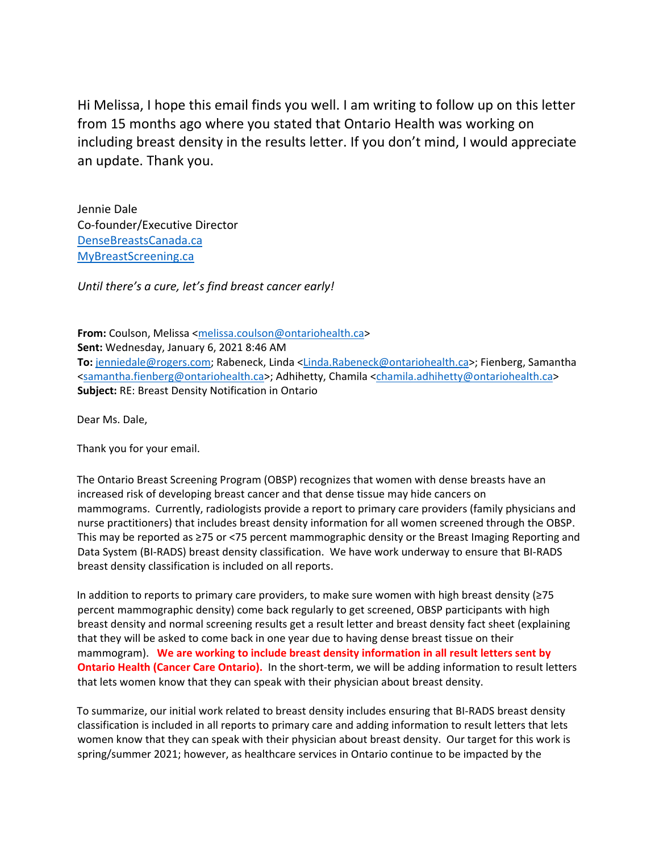Hi Melissa, I hope this email finds you well. I am writing to follow up on this letter from 15 months ago where you stated that Ontario Health was working on including breast density in the results letter. If you don't mind, I would appreciate an update. Thank you.

Jennie Dale Co-founder/Executive Director [DenseBreastsCanada.ca](https://can01.safelinks.protection.outlook.com/?url=http%3A%2F%2Fwww.densebreastscanada.ca%2F&data=04%7C01%7Cvictoria.wells%40ontariohealth.ca%7C799ed0f879cb45dad3e608da180db1db%7C4ef96c5cd83f466ba478816a5bb4af62%7C0%7C0%7C637848744336007598%7CUnknown%7CTWFpbGZsb3d8eyJWIjoiMC4wLjAwMDAiLCJQIjoiV2luMzIiLCJBTiI6Ik1haWwiLCJXVCI6Mn0%3D%7C3000&sdata=n97jgo1wFkdyp7bcKbBlrsbdg%2BgGQfgOeZFqEJK3IOI%3D&reserved=0) [MyBreastScreening.ca](https://can01.safelinks.protection.outlook.com/?url=http%3A%2F%2Fwww.mybreastscreening.ca%2F&data=04%7C01%7Cvictoria.wells%40ontariohealth.ca%7C799ed0f879cb45dad3e608da180db1db%7C4ef96c5cd83f466ba478816a5bb4af62%7C0%7C0%7C637848744336007598%7CUnknown%7CTWFpbGZsb3d8eyJWIjoiMC4wLjAwMDAiLCJQIjoiV2luMzIiLCJBTiI6Ik1haWwiLCJXVCI6Mn0%3D%7C3000&sdata=OuEwtc3FigMhnZ4xcyQKp4hUIvLVLLqkFqC6FnMVS%2B8%3D&reserved=0)

*Until there's a cure, let's find breast cancer early!*

**From:** Coulson, Melissa [<melissa.coulson@ontariohealth.ca>](mailto:melissa.coulson@ontariohealth.ca)

**Sent:** Wednesday, January 6, 2021 8:46 AM **To:** [jenniedale@rogers.com;](mailto:jenniedale@rogers.com) Rabeneck, Linda [<Linda.Rabeneck@ontariohealth.ca>](mailto:Linda.Rabeneck@ontariohealth.ca); Fienberg, Samantha [<samantha.fienberg@ontariohealth.ca>](mailto:samantha.fienberg@ontariohealth.ca); Adhihetty, Chamila [<chamila.adhihetty@ontariohealth.ca>](mailto:chamila.adhihetty@ontariohealth.ca) **Subject:** RE: Breast Density Notification in Ontario

Dear Ms. Dale,

Thank you for your email.

The Ontario Breast Screening Program (OBSP) recognizes that women with dense breasts have an increased risk of developing breast cancer and that dense tissue may hide cancers on mammograms. Currently, radiologists provide a report to primary care providers (family physicians and nurse practitioners) that includes breast density information for all women screened through the OBSP. This may be reported as ≥75 or <75 percent mammographic density or the Breast Imaging Reporting and Data System (BI-RADS) breast density classification. We have work underway to ensure that BI-RADS breast density classification is included on all reports.

In addition to reports to primary care providers, to make sure women with high breast density (≥75 percent mammographic density) come back regularly to get screened, OBSP participants with high breast density and normal screening results get a result letter and breast density fact sheet (explaining that they will be asked to come back in one year due to having dense breast tissue on their mammogram). **We are working to include breast density information in all result letters sent by Ontario Health (Cancer Care Ontario).** In the short-term, we will be adding information to result letters that lets women know that they can speak with their physician about breast density.

To summarize, our initial work related to breast density includes ensuring that BI-RADS breast density classification is included in all reports to primary care and adding information to result letters that lets women know that they can speak with their physician about breast density. Our target for this work is spring/summer 2021; however, as healthcare services in Ontario continue to be impacted by the